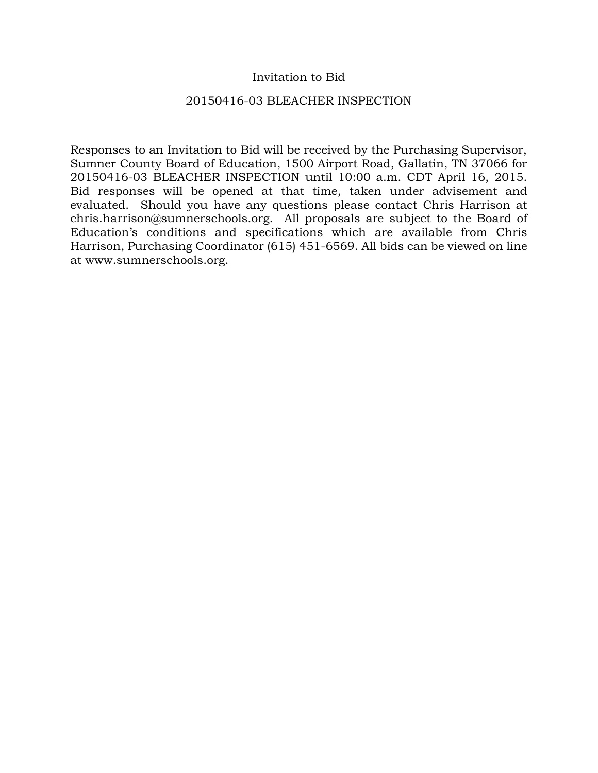## Invitation to Bid

## 20150416-03 BLEACHER INSPECTION

Responses to an Invitation to Bid will be received by the Purchasing Supervisor, Sumner County Board of Education, 1500 Airport Road, Gallatin, TN 37066 for 20150416-03 BLEACHER INSPECTION until 10:00 a.m. CDT April 16, 2015. Bid responses will be opened at that time, taken under advisement and evaluated. Should you have any questions please contact Chris Harrison at chris.harrison@sumnerschools.org. All proposals are subject to the Board of Education's conditions and specifications which are available from Chris Harrison, Purchasing Coordinator (615) 451-6569. All bids can be viewed on line at www.sumnerschools.org.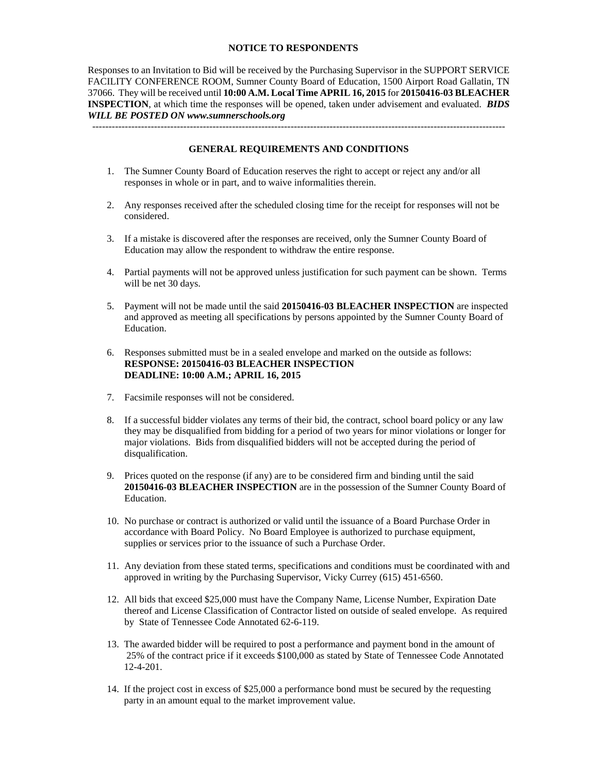### **NOTICE TO RESPONDENTS**

Responses to an Invitation to Bid will be received by the Purchasing Supervisor in the SUPPORT SERVICE FACILITY CONFERENCE ROOM, Sumner County Board of Education, 1500 Airport Road Gallatin, TN 37066. They will be received until **10:00 A.M. Local Time APRIL 16, 2015** for **20150416-03 BLEACHER INSPECTION**, at which time the responses will be opened, taken under advisement and evaluated. *BIDS WILL BE POSTED ON www.sumnerschools.org* 

**GENERAL REQUIREMENTS AND CONDITIONS** 

-------------------------------------------------------------------------------------------------------------------------------

- 1. The Sumner County Board of Education reserves the right to accept or reject any and/or all responses in whole or in part, and to waive informalities therein.
- 2. Any responses received after the scheduled closing time for the receipt for responses will not be considered.
- 3. If a mistake is discovered after the responses are received, only the Sumner County Board of Education may allow the respondent to withdraw the entire response.
- 4. Partial payments will not be approved unless justification for such payment can be shown. Terms will be net 30 days.
- 5. Payment will not be made until the said **20150416-03 BLEACHER INSPECTION** are inspected and approved as meeting all specifications by persons appointed by the Sumner County Board of Education.
- 6. Responses submitted must be in a sealed envelope and marked on the outside as follows: **RESPONSE: 20150416-03 BLEACHER INSPECTION DEADLINE: 10:00 A.M.; APRIL 16, 2015**
- 7. Facsimile responses will not be considered.
- 8. If a successful bidder violates any terms of their bid, the contract, school board policy or any law they may be disqualified from bidding for a period of two years for minor violations or longer for major violations. Bids from disqualified bidders will not be accepted during the period of disqualification.
- 9. Prices quoted on the response (if any) are to be considered firm and binding until the said **20150416-03 BLEACHER INSPECTION** are in the possession of the Sumner County Board of Education.
- 10. No purchase or contract is authorized or valid until the issuance of a Board Purchase Order in accordance with Board Policy. No Board Employee is authorized to purchase equipment, supplies or services prior to the issuance of such a Purchase Order.
- 11. Any deviation from these stated terms, specifications and conditions must be coordinated with and approved in writing by the Purchasing Supervisor, Vicky Currey (615) 451-6560.
- 12. All bids that exceed \$25,000 must have the Company Name, License Number, Expiration Date thereof and License Classification of Contractor listed on outside of sealed envelope. As required by State of Tennessee Code Annotated 62-6-119.
- 13. The awarded bidder will be required to post a performance and payment bond in the amount of 25% of the contract price if it exceeds \$100,000 as stated by State of Tennessee Code Annotated 12-4-201.
- 14. If the project cost in excess of \$25,000 a performance bond must be secured by the requesting party in an amount equal to the market improvement value.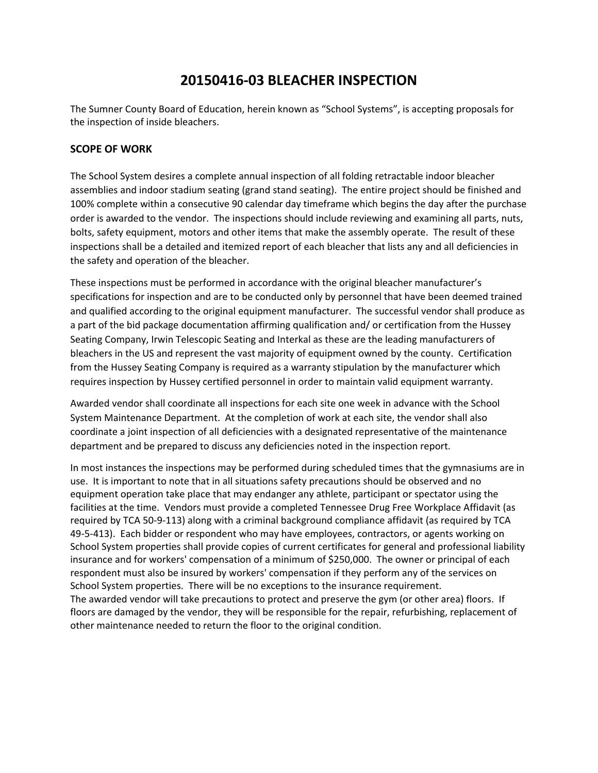# **20150416‐03 BLEACHER INSPECTION**

The Sumner County Board of Education, herein known as "School Systems", is accepting proposals for the inspection of inside bleachers.

## **SCOPE OF WORK**

The School System desires a complete annual inspection of all folding retractable indoor bleacher assemblies and indoor stadium seating (grand stand seating). The entire project should be finished and 100% complete within a consecutive 90 calendar day timeframe which begins the day after the purchase order is awarded to the vendor. The inspections should include reviewing and examining all parts, nuts, bolts, safety equipment, motors and other items that make the assembly operate. The result of these inspections shall be a detailed and itemized report of each bleacher that lists any and all deficiencies in the safety and operation of the bleacher.

These inspections must be performed in accordance with the original bleacher manufacturer's specifications for inspection and are to be conducted only by personnel that have been deemed trained and qualified according to the original equipment manufacturer. The successful vendor shall produce as a part of the bid package documentation affirming qualification and/ or certification from the Hussey Seating Company, Irwin Telescopic Seating and Interkal as these are the leading manufacturers of bleachers in the US and represent the vast majority of equipment owned by the county. Certification from the Hussey Seating Company is required as a warranty stipulation by the manufacturer which requires inspection by Hussey certified personnel in order to maintain valid equipment warranty.

Awarded vendor shall coordinate all inspections for each site one week in advance with the School System Maintenance Department. At the completion of work at each site, the vendor shall also coordinate a joint inspection of all deficiencies with a designated representative of the maintenance department and be prepared to discuss any deficiencies noted in the inspection report.

In most instances the inspections may be performed during scheduled times that the gymnasiums are in use. It is important to note that in all situations safety precautions should be observed and no equipment operation take place that may endanger any athlete, participant or spectator using the facilities at the time. Vendors must provide a completed Tennessee Drug Free Workplace Affidavit (as required by TCA 50‐9‐113) along with a criminal background compliance affidavit (as required by TCA 49-5-413). Each bidder or respondent who may have employees, contractors, or agents working on School System properties shall provide copies of current certificates for general and professional liability insurance and for workers' compensation of a minimum of \$250,000. The owner or principal of each respondent must also be insured by workers' compensation if they perform any of the services on School System properties. There will be no exceptions to the insurance requirement. The awarded vendor will take precautions to protect and preserve the gym (or other area) floors. If floors are damaged by the vendor, they will be responsible for the repair, refurbishing, replacement of other maintenance needed to return the floor to the original condition.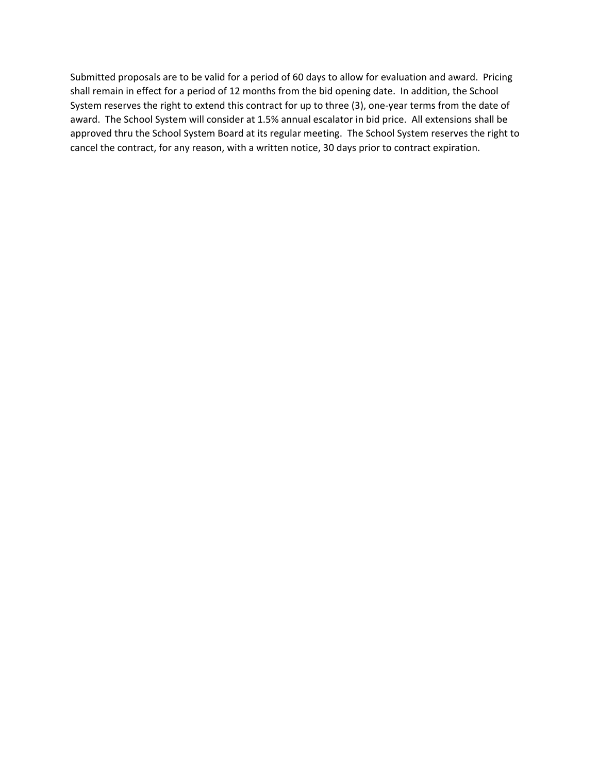Submitted proposals are to be valid for a period of 60 days to allow for evaluation and award. Pricing shall remain in effect for a period of 12 months from the bid opening date. In addition, the School System reserves the right to extend this contract for up to three (3), one‐year terms from the date of award. The School System will consider at 1.5% annual escalator in bid price. All extensions shall be approved thru the School System Board at its regular meeting. The School System reserves the right to cancel the contract, for any reason, with a written notice, 30 days prior to contract expiration.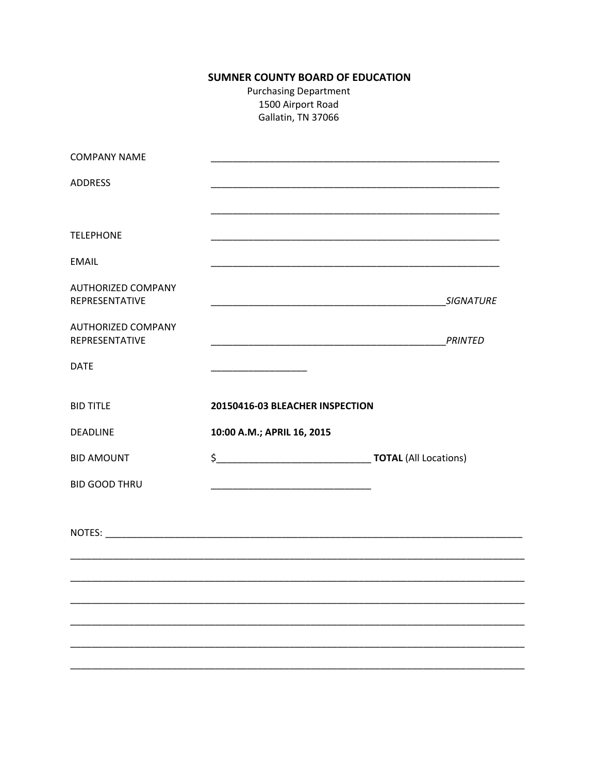# **SUMNER COUNTY BOARD OF EDUCATION**

**Purchasing Department** 1500 Airport Road Gallatin, TN 37066

| <b>COMPANY NAME</b>                         |                                                                                                                      |                                                                                                                       |
|---------------------------------------------|----------------------------------------------------------------------------------------------------------------------|-----------------------------------------------------------------------------------------------------------------------|
| <b>ADDRESS</b>                              |                                                                                                                      |                                                                                                                       |
| <b>TELEPHONE</b>                            |                                                                                                                      | <u> 1989 - Johann John Stoff, deutscher Stoffen und der Stoffen und der Stoffen und der Stoffen und der Stoffen u</u> |
| <b>EMAIL</b>                                |                                                                                                                      |                                                                                                                       |
| <b>AUTHORIZED COMPANY</b><br>REPRESENTATIVE | <u> 1989 - Johann John Stone, markin film ar yn y brenin y brenin y brenin y brenin y brenin y brenin y brenin y</u> | <b>SIGNATURE</b>                                                                                                      |
| <b>AUTHORIZED COMPANY</b><br>REPRESENTATIVE |                                                                                                                      | PRINTED                                                                                                               |
| <b>DATE</b>                                 |                                                                                                                      |                                                                                                                       |
| <b>BID TITLE</b>                            | 20150416-03 BLEACHER INSPECTION                                                                                      |                                                                                                                       |
| <b>DEADLINE</b>                             | 10:00 A.M.; APRIL 16, 2015                                                                                           |                                                                                                                       |
| <b>BID AMOUNT</b>                           |                                                                                                                      |                                                                                                                       |
| <b>BID GOOD THRU</b>                        |                                                                                                                      |                                                                                                                       |
|                                             |                                                                                                                      |                                                                                                                       |
|                                             |                                                                                                                      |                                                                                                                       |
|                                             |                                                                                                                      |                                                                                                                       |
|                                             |                                                                                                                      |                                                                                                                       |
|                                             |                                                                                                                      |                                                                                                                       |
|                                             |                                                                                                                      |                                                                                                                       |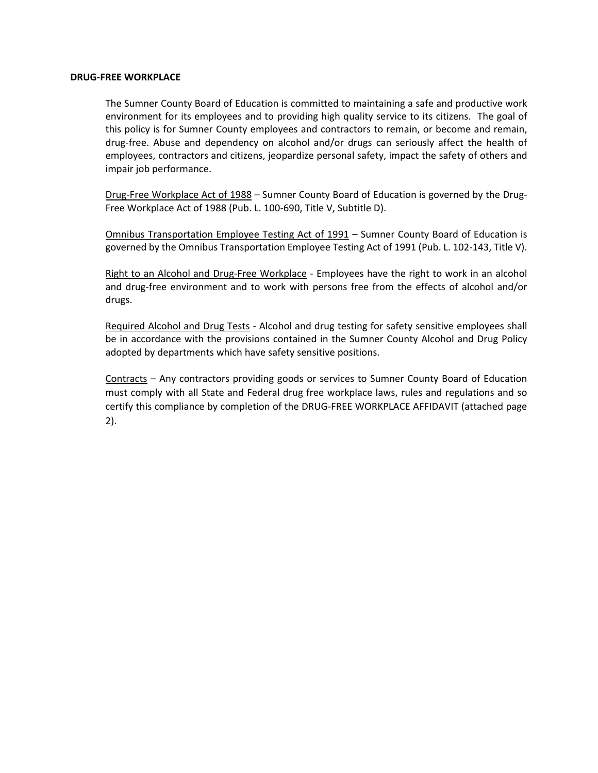#### **DRUG‐FREE WORKPLACE**

The Sumner County Board of Education is committed to maintaining a safe and productive work environment for its employees and to providing high quality service to its citizens. The goal of this policy is for Sumner County employees and contractors to remain, or become and remain, drug‐free. Abuse and dependency on alcohol and/or drugs can seriously affect the health of employees, contractors and citizens, jeopardize personal safety, impact the safety of others and impair job performance.

Drug‐Free Workplace Act of 1988 – Sumner County Board of Education is governed by the Drug‐ Free Workplace Act of 1988 (Pub. L. 100‐690, Title V, Subtitle D).

Omnibus Transportation Employee Testing Act of 1991 – Sumner County Board of Education is governed by the Omnibus Transportation Employee Testing Act of 1991 (Pub. L. 102‐143, Title V).

Right to an Alcohol and Drug-Free Workplace - Employees have the right to work in an alcohol and drug‐free environment and to work with persons free from the effects of alcohol and/or drugs.

Required Alcohol and Drug Tests ‐ Alcohol and drug testing for safety sensitive employees shall be in accordance with the provisions contained in the Sumner County Alcohol and Drug Policy adopted by departments which have safety sensitive positions.

Contracts – Any contractors providing goods or services to Sumner County Board of Education must comply with all State and Federal drug free workplace laws, rules and regulations and so certify this compliance by completion of the DRUG‐FREE WORKPLACE AFFIDAVIT (attached page 2).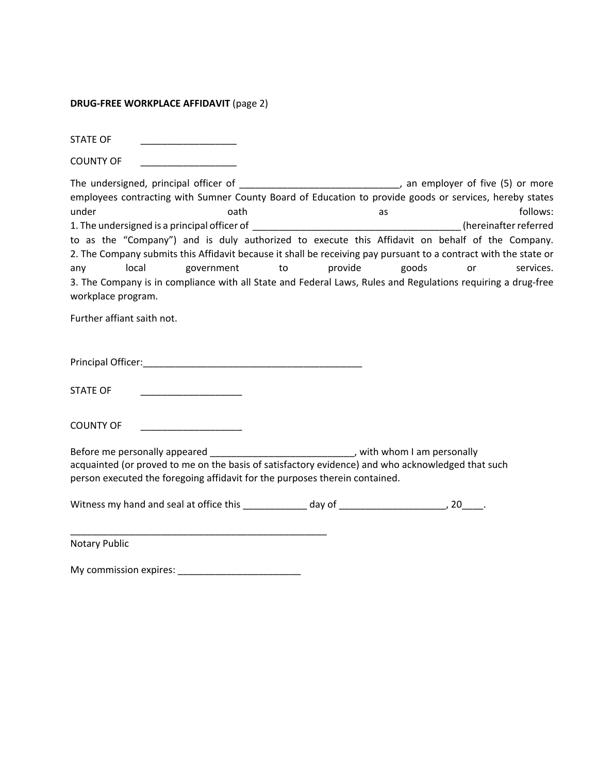### **DRUG‐FREE WORKPLACE AFFIDAVIT** (page 2)

STATE OF

COUNTY OF

The undersigned, principal officer of \_\_\_\_\_\_\_\_\_\_\_\_\_\_\_\_\_\_\_\_\_\_\_\_\_\_\_\_\_\_, an employer of five (5) or more employees contracting with Sumner County Board of Education to provide goods or services, hereby states under **oath** as complete original control of the control of the control of the control of the control of the control of the control of the control of the control of the control of the control of the control of the control 1. The undersigned is a principal officer of \_\_\_\_\_\_\_\_\_\_\_\_\_\_\_\_\_\_\_\_\_\_\_\_\_\_\_\_\_\_\_\_\_\_\_\_\_\_\_ (hereinafterreferred to as the "Company") and is duly authorized to execute this Affidavit on behalf of the Company. 2. The Company submits this Affidavit because it shall be receiving pay pursuant to a contract with the state or any local government to provide goods or services. 3. The Company is in compliance with all State and Federal Laws, Rules and Regulations requiring a drug‐free workplace program.

Further affiant saith not.

Principal Officer:\_\_\_\_\_\_\_\_\_\_\_\_\_\_\_\_\_\_\_\_\_\_\_\_\_\_\_\_\_\_\_\_\_\_\_\_\_\_\_\_\_

STATE OF

COUNTY OF

Before me personally appeared **Example 20** and  $\mathbf{B}$ , with whom I am personally acquainted (or proved to me on the basis of satisfactory evidence) and who acknowledged that such person executed the foregoing affidavit for the purposes therein contained.

Witness my hand and seal at office this \_\_\_\_\_\_\_\_\_\_\_\_\_ day of \_\_\_\_\_\_\_\_\_\_\_\_\_\_\_\_\_\_\_\_, 20\_\_\_\_.

Notary Public

My commission expires: \_\_\_\_\_\_\_\_\_\_\_\_\_\_\_\_\_\_\_\_\_\_\_

\_\_\_\_\_\_\_\_\_\_\_\_\_\_\_\_\_\_\_\_\_\_\_\_\_\_\_\_\_\_\_\_\_\_\_\_\_\_\_\_\_\_\_\_\_\_\_\_